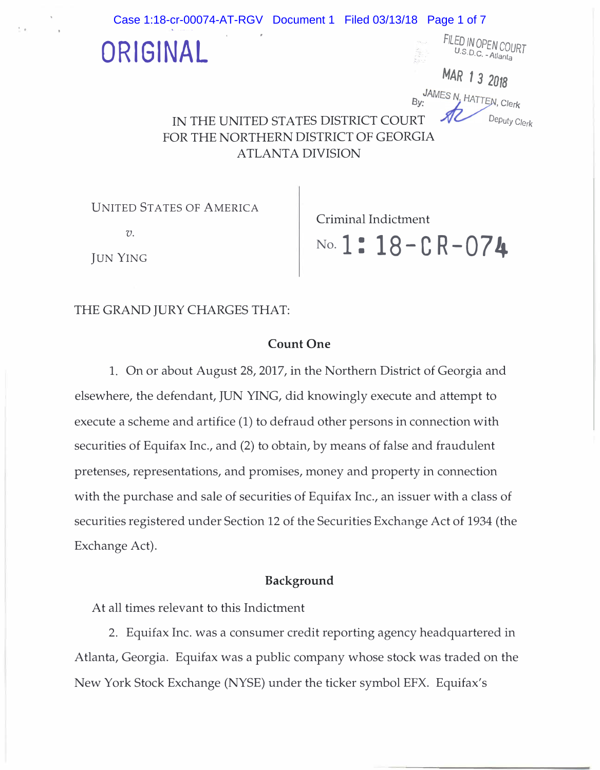

**UNITED STATES OF AMERICA** 

 $\mathcal{V}$ .

Criminal Indictment

**JUN YING** 

..

No. 1: 18 - CR - 074

# THE GRAND JURY CHARGES THAT:

## Count One

1. On or about August 28, 2017, in the Northern District of Georgia and elsewhere, the defendant, JUN YING, did knowingly execute and attempt to execute a scheme and artifice (1) to defraud other persons in connection with securities of Equifax Inc., and (2) to obtain, by means of false and fraudulent pretenses, representations, and promises, money and property in connection with the purchase and sale of securities of Equifax Inc., an issuer with a class of securities registered under Section 12 of the Securities Exchange Act of 1934 (the Exchange Act).

### Background

At all times relevant to this Indictment

2. Equifax Inc. was a consumer credit reporting agency headquartered in Atlanta, Georgia. Equifax was a public company whose stock was traded on the New York Stock Exchange (NYSE) under the ticker symbol EFX. Equifax's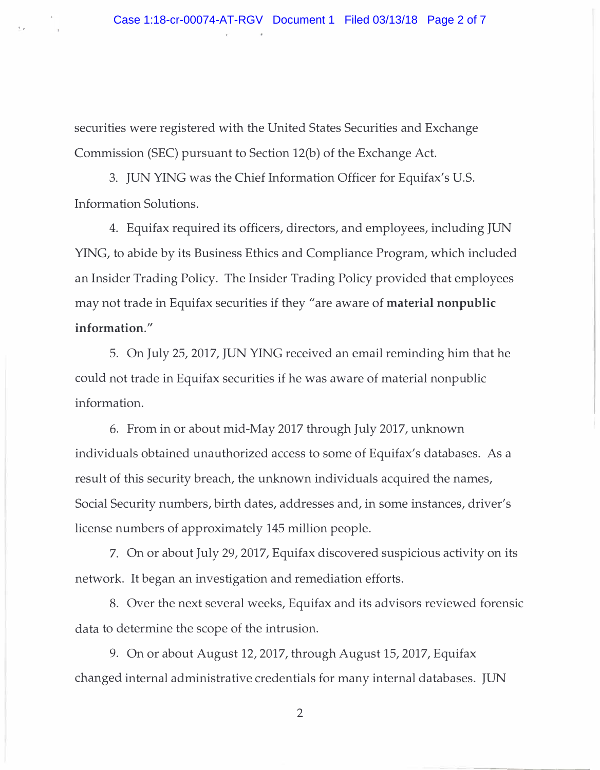securities were registered with the United States Securities and Exchange Commission (SEC) pursuant to Section 12(b) of the Exchange Act.

 $-$ .

3. JUN YING was the Chief Information Officer for Equifax's U.S. Information Solutions.

4. Equifax required its officers, directors, and employees, including JUN YING, to abide by its Business Ethics and Compliance Program, which included an Insider Trading Policy. The Insider Trading Policy provided that employees may not trade in Equifax securities if they "are aware of material nonpublic information."

5. On July 25, 2017, JUN YING received an email reminding him that he could not trade in Equifax securities if he was aware of material nonpublic information.

6. From in or about mid-May 2017 through July 2017, unknown individuals obtained unauthorized access to some of Equifax's databases. As a result of this security breach, the unknown individuals acquired the names, Social Security numbers, birth dates, addresses and, in some instances, driver's license numbers of approximately 145 million people.

7. On or about July 29, 2017, Equifax discovered suspicious activity on its network. It began an investigation and remediation efforts.

8. Over the next several weeks, Equifax and its advisors reviewed forensic data to determine the scope of the intrusion.

9. On or about August 12, 2017, through August 15, 2017, Equifax changed internal administrative credentials for many internal databases. JUN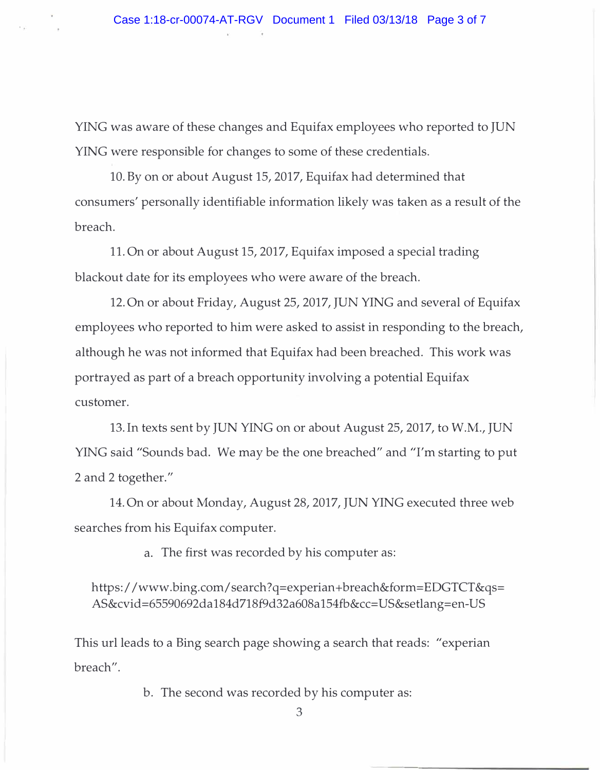YING was aware of these changes and Equifax employees who reported to JUN YING were responsible for changes to some of these credentials.

10. By on or about August 15, 2017, Equifax had determined that consumers' personally identifiable information likely was taken as a result of the breach.

11. On or about August 15, 2017, Equifax imposed a special trading blackout date for its employees who were aware of the breach.

12. On or about Friday, August 25, 2017, JUN YING and several of Equifax employees who reported to him were asked to assist in responding to the breach, although he was not informed that Equifax had been breached. This work was portrayed as part of a breach opportunity involving a potential Equifax customer.

13. In texts sent by JUN YING on or about August 25, 2017, to W.M., JUN YING said "Sounds bad. We may be the one breached" and "I'm starting to put 2 and 2 together."

14. On or about Monday, August 28, 2017, JUN YING executed three web searches from his Equifax computer.

a. The first was recorded by his computer as:

https:/ /www.bing.com/search?q=experian+breach&form=EDGTCT&qs= AS&cvid=65590692da184d718f9d32a608a154fb&cc=US&setlang=en-US

This url leads to a Bing search page showing a search that reads: "experian breach".

b. The second was recorded by his computer as: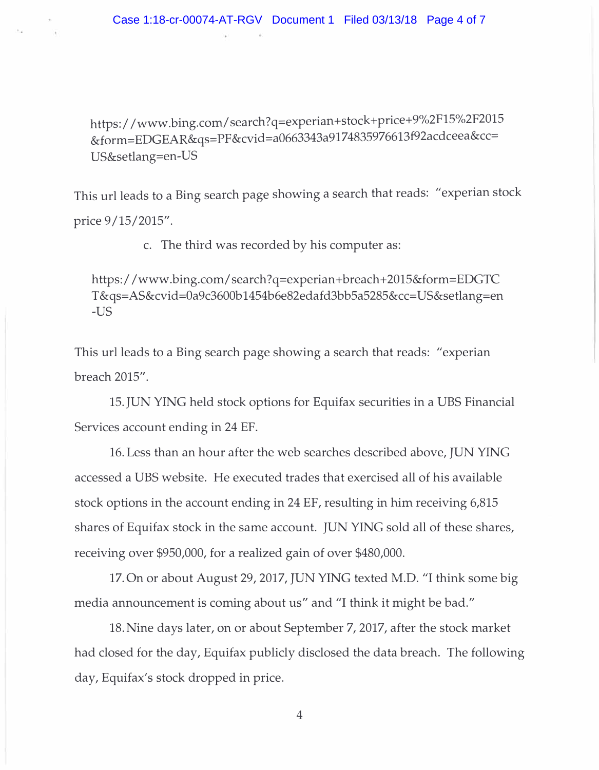https:/ /www.bing.com/ search?q=experian+stock+price+9%2Fl5%2F2015 &form=EDGEAR&qs=PF&cvid=a0663343a9174835976613f92acdceea&cc= US&setlang=en-US

This url leads to a Bing search page showing a search that reads: "experian stock price 9/15/2015".

c. The third was recorded by his computer as:

https: / / www .bing.com/ search? q=experian +breach+ 2015&form=EDGTC T &qs=AS&cvid=Oa9c3600b 1454b6e82edafd3bb5a5285&cc= US&setlang=en -US

This url leads to a Bing search page showing a search that reads: "experian breach 2015".

15. JUN YING held stock options for Equifax securities in a UBS Financial Services account ending in 24 EF.

16. Less than an hour after the web searches described above, JUN YING accessed a UBS website. He executed trades that exercised all of his available stock options in the account ending in 24 EF, resulting in him receiving 6,815 shares of Equifax stock in the same account. JUN YING sold all of these shares, receiving over \$950,000, for a realized gain of over \$480,000.

17. On or about August 29, 2017, JUN YING texted M.D. "I think some big media announcement is coming about us" and "I think it might be bad."

18. Nine days later, on or about September 7, 2017, after the stock market had closed for the day, Equifax publicly disclosed the data breach. The following day, Equifax's stock dropped in price.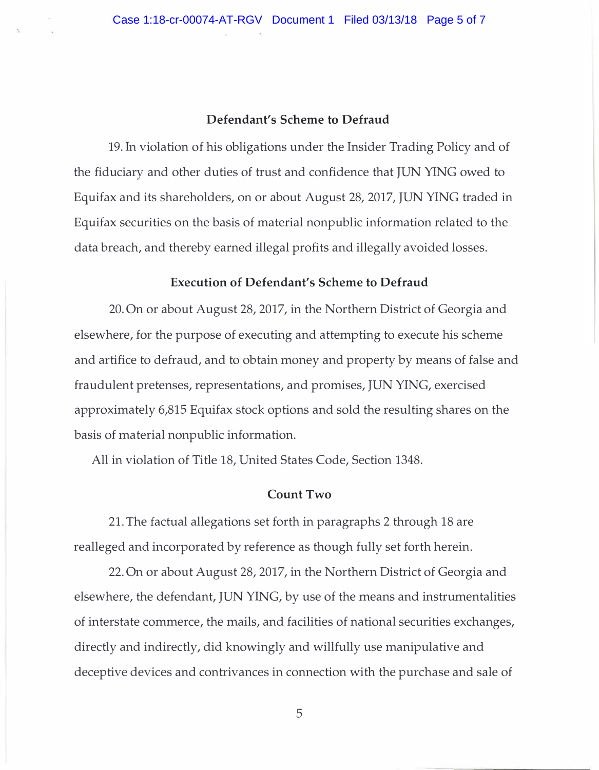#### Defendant's Scheme to Defraud

19. In violation of his obligations under the Insider Trading Policy and of the fiduciary and other duties of trust and confidence that JUN YING owed to Equifax and its shareholders, on or about August 28, 2017, JUN YING traded in Equifax securities on the basis of material nonpublic information related to the data breach, and thereby earned illegal profits and illegally avoided losses.

#### Execution of Defendant's Scheme to Defraud

20. On or about August 28, 2017, in the Northern District of Georgia and elsewhere, for the purpose of executing and attempting to execute his scheme and artifice to defraud, and to obtain money and property by means of false and fraudulent pretenses, representations, and promises, JUN YING, exercised approximately 6,815 Equifax stock options and sold the resulting shares on the basis of material nonpublic information.

All in violation of Title 18, United States Code, Section 1348.

#### Count Two

21. The factual allegations set forth in paragraphs 2 through 18 are realleged and incorporated by reference as though fully set forth herein.

22. On or about August 28, 2017, in the Northern District of Georgia and elsewhere, the defendant, JUN YING, by use of the means and instrumentalities of interstate commerce, the mails, and facilities of national securities exchanges, directly and indirectly, did knowingly and willfully use manipulative and deceptive devices and contrivances in connection with the purchase and sale of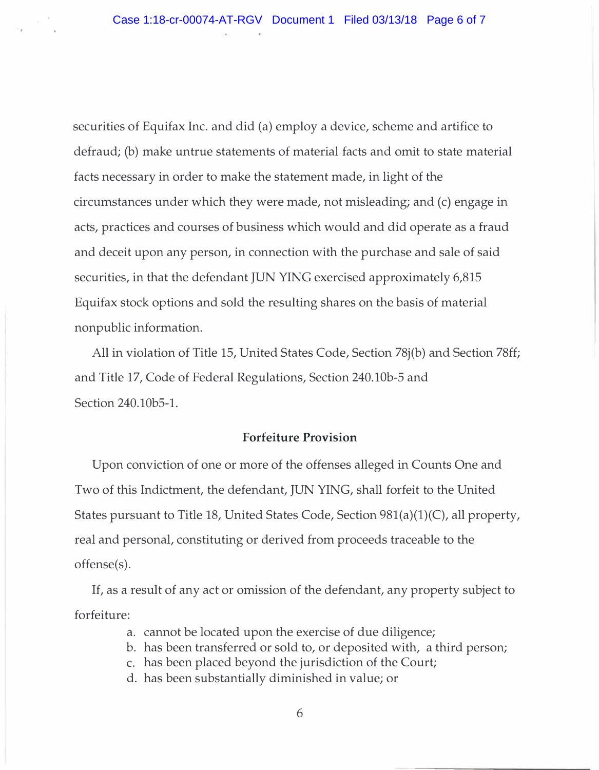securities of Equifax Inc. and did (a) employ a device, scheme and artifice to defraud; (b) make untrue statements of material facts and omit to state material facts necessary in order to make the statement made, in light of the circumstances under which they were made, not misleading; and (c) engage in acts, practices and courses of business which would and did operate as a fraud and deceit upon any person, in connection with the purchase and sale of said securities, in that the defendant JUN YING exercised approximately 6,815 Equifax stock options and sold the resulting shares on the basis of material nonpublic information.

All in violation of Title 15, United States Code, Section 78j(b) and Section 78ff; and Title 17, Code of Federal Regulations, Section 240.lOb-5 and Section 240.10b5-1.

#### Forfeiture Provision

Upon conviction of one or more of the offenses alleged in Counts One and Two of this Indictment, the defendant, JUN YING, shall forfeit to the United States pursuant to Title 18, United States Code, Section 981(a)(1)(C), all property, real and personal, constituting or derived from proceeds traceable to the offense(s).

If, as a result of any act or omission of the defendant, any property subject to forfeiture:

- a. cannot be located upon the exercise of due diligence;
- b. has been transferred or sold to, or deposited with, a third person;
- c. has been placed beyond the jurisdiction of the Court;
- d. has been substantially diminished in value; or